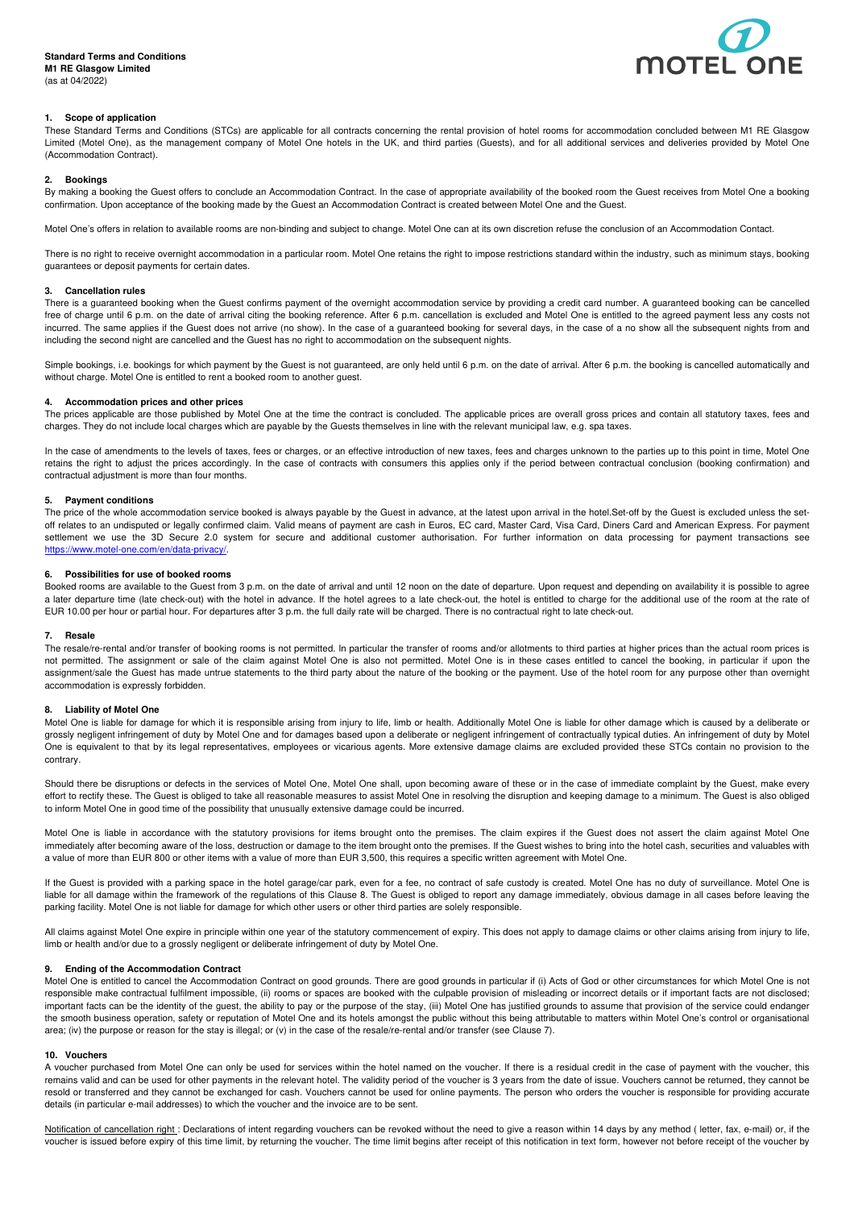

# **1. Scope of application**

These Standard Terms and Conditions (STCs) are applicable for all contracts concerning the rental provision of hotel rooms for accommodation concluded between M1 RE Glasgow Limited (Motel One), as the management company of Motel One hotels in the UK, and third parties (Guests), and for all additional services and deliveries provided by Motel One (Accommodation Contract).

# **2. Bookings**

By making a booking the Guest offers to conclude an Accommodation Contract. In the case of appropriate availability of the booked room the Guest receives from Motel One a booking confirmation. Upon acceptance of the booking made by the Guest an Accommodation Contract is created between Motel One and the Guest.

Motel One's offers in relation to available rooms are non-binding and subject to change. Motel One can at its own discretion refuse the conclusion of an Accommodation Contact.

There is no right to receive overnight accommodation in a particular room. Motel One retains the right to impose restrictions standard within the industry, such as minimum stays, booking guarantees or deposit payments for certain dates.

# **3. Cancellation rules**

There is a guaranteed booking when the Guest confirms payment of the overnight accommodation service by providing a credit card number. A guaranteed booking can be cancelled free of charge until 6 p.m. on the date of arrival citing the booking reference. After 6 p.m. cancellation is excluded and Motel One is entitled to the agreed payment less any costs not incurred. The same applies if the Guest does not arrive (no show). In the case of a guaranteed booking for several days, in the case of a no show all the subsequent nights from and including the second night are cancelled and the Guest has no right to accommodation on the subsequent nights.

Simple bookings, i.e. bookings for which payment by the Guest is not guaranteed, are only held until 6 p.m. on the date of arrival. After 6 p.m. the booking is cancelled automatically and without charge. Motel One is entitled to rent a booked room to another guest.

# **4. Accommodation prices and other prices**

The prices applicable are those published by Motel One at the time the contract is concluded. The applicable prices are overall gross prices and contain all statutory taxes, fees and charges. They do not include local charges which are payable by the Guests themselves in line with the relevant municipal law, e.g. spa taxes.

In the case of amendments to the levels of taxes, fees or charges, or an effective introduction of new taxes, fees and charges unknown to the parties up to this point in time, Motel One retains the right to adjust the prices accordingly. In the case of contracts with consumers this applies only if the period between contractual conclusion (booking confirmation) and contractual adjustment is more than four months.

# **5. Payment conditions**

The price of the whole accommodation service booked is always payable by the Guest in advance, at the latest upon arrival in the hotel.Set-off by the Guest is excluded unless the setoff relates to an undisputed or legally confirmed claim. Valid means of payment are cash in Euros, EC card, Master Card, Visa Card, Diners Card and American Express. For payment settlement we use the 3D Secure 2.0 system for secure and additional customer authorisation. For further information on data processing for payment transactions see https://www.motel-one.com/en/data-privacy/.

#### **6. Possibilities for use of booked rooms**

Booked rooms are available to the Guest from 3 p.m. on the date of arrival and until 12 noon on the date of departure. Upon request and depending on availability it is possible to agree a later departure time (late check-out) with the hotel in advance. If the hotel agrees to a late check-out, the hotel is entitled to charge for the additional use of the room at the rate of EUR 10.00 per hour or partial hour. For departures after 3 p.m. the full daily rate will be charged. There is no contractual right to late check-out.

#### **7. Resale**

The resale/re-rental and/or transfer of booking rooms is not permitted. In particular the transfer of rooms and/or allotments to third parties at higher prices than the actual room prices is not permitted. The assignment or sale of the claim against Motel One is also not permitted. Motel One is in these cases entitled to cancel the booking, in particular if upon the assignment/sale the Guest has made untrue statements to the third party about the nature of the booking or the payment. Use of the hotel room for any purpose other than overnight accommodation is expressly forbidden.

## **8. Liability of Motel One**

Motel One is liable for damage for which it is responsible arising from injury to life, limb or health. Additionally Motel One is liable for other damage which is caused by a deliberate or grossly negligent infringement of duty by Motel One and for damages based upon a deliberate or negligent infringement of contractually typical duties. An infringement of duty by Motel One is equivalent to that by its legal representatives, employees or vicarious agents. More extensive damage claims are excluded provided these STCs contain no provision to the contrary.

Should there be disruptions or defects in the services of Motel One, Motel One shall, upon becoming aware of these or in the case of immediate complaint by the Guest, make every effort to rectify these. The Guest is obliged to take all reasonable measures to assist Motel One in resolving the disruption and keeping damage to a minimum. The Guest is also obliged to inform Motel One in good time of the possibility that unusually extensive damage could be incurred.

Motel One is liable in accordance with the statutory provisions for items brought onto the premises. The claim expires if the Guest does not assert the claim against Motel One immediately after becoming aware of the loss, destruction or damage to the item brought onto the premises. If the Guest wishes to bring into the hotel cash, securities and valuables with a value of more than EUR 800 or other items with a value of more than EUR 3,500, this requires a specific written agreement with Motel One.

If the Guest is provided with a parking space in the hotel garage/car park, even for a fee, no contract of safe custody is created. Motel One has no duty of surveillance. Motel One is liable for all damage within the framework of the regulations of this Clause 8. The Guest is obliged to report any damage immediately, obvious damage in all cases before leaving the parking facility. Motel One is not liable for damage for which other users or other third parties are solely responsible.

All claims against Motel One expire in principle within one year of the statutory commencement of expiry. This does not apply to damage claims or other claims arising from injury to life, limb or health and/or due to a grossly negligent or deliberate infringement of duty by Motel One.

# **9. Ending of the Accommodation Contract**

Motel One is entitled to cancel the Accommodation Contract on good grounds. There are good grounds in particular if (i) Acts of God or other circumstances for which Motel One is not responsible make contractual fulfilment impossible, (ii) rooms or spaces are booked with the culpable provision of misleading or incorrect details or if important facts are not disclosed; important facts can be the identity of the guest, the ability to pay or the purpose of the stay, (iii) Motel One has justified grounds to assume that provision of the service could endanger the smooth business operation, safety or reputation of Motel One and its hotels amongst the public without this being attributable to matters within Motel One's control or organisational area; (iv) the purpose or reason for the stay is illegal; or (v) in the case of the resale/re-rental and/or transfer (see Clause 7).

#### **10. Vouchers**

A voucher purchased from Motel One can only be used for services within the hotel named on the voucher. If there is a residual credit in the case of payment with the voucher, this remains valid and can be used for other payments in the relevant hotel. The validity period of the voucher is 3 years from the date of issue. Vouchers cannot be returned, they cannot be resold or transferred and they cannot be exchanged for cash. Vouchers cannot be used for online payments. The person who orders the voucher is responsible for providing accurate details (in particular e-mail addresses) to which the voucher and the invoice are to be sent.

Notification of cancellation right : Declarations of intent regarding vouchers can be revoked without the need to give a reason within 14 days by any method (letter, fax, e-mail) or, if the voucher is issued before expiry of this time limit, by returning the voucher. The time limit begins after receipt of this notification in text form, however not before receipt of the voucher by